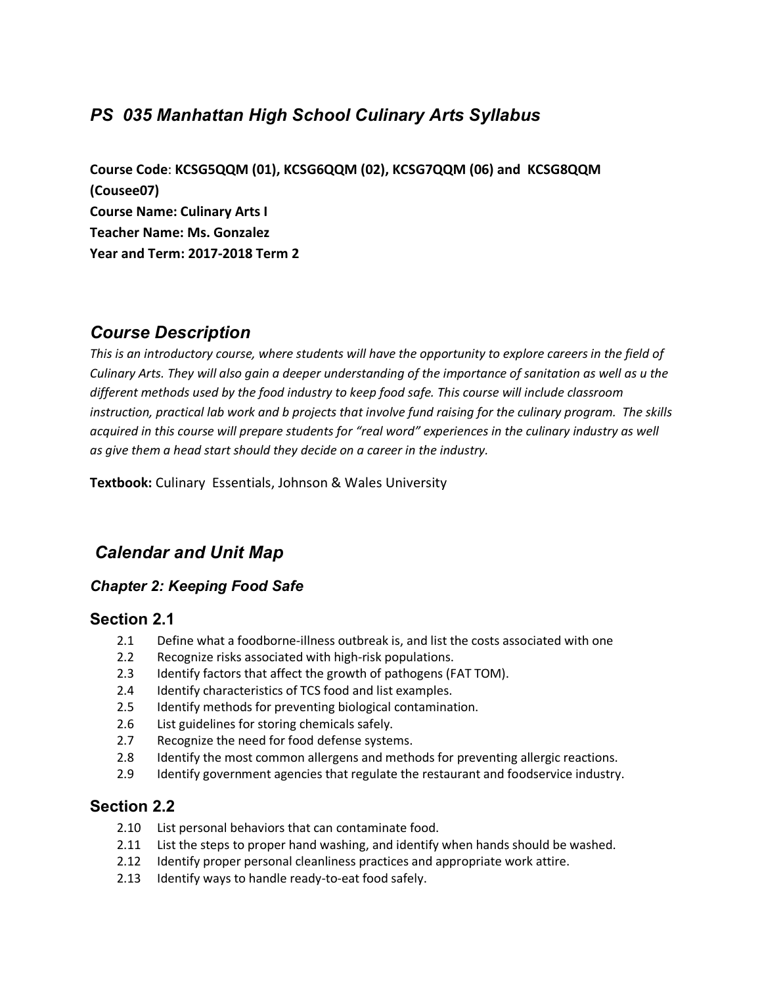# *PS 035 Manhattan High School Culinary Arts Syllabus*

**Course Code**: **KCSG5QQM (01), KCSG6QQM (02), KCSG7QQM (06) and KCSG8QQM (Cousee07) Course Name: Culinary Arts I Teacher Name: Ms. Gonzalez Year and Term: 2017-2018 Term 2**

# *Course Description*

*This is an introductory course, where students will have the opportunity to explore careers in the field of Culinary Arts. They will also gain a deeper understanding of the importance of sanitation as well as u the different methods used by the food industry to keep food safe. This course will include classroom instruction, practical lab work and b projects that involve fund raising for the culinary program. The skills acquired in this course will prepare students for "real word" experiences in the culinary industry as well as give them a head start should they decide on a career in the industry.* 

**Textbook:** Culinary Essentials, Johnson & Wales University

# *Calendar and Unit Map*

### *Chapter 2: Keeping Food Safe*

### **Section 2.1**

- 2.1 Define what a foodborne-illness outbreak is, and list the costs associated with one
- 2.2 Recognize risks associated with high-risk populations.
- 2.3 Identify factors that affect the growth of pathogens (FAT TOM).
- 2.4 Identify characteristics of TCS food and list examples.
- 2.5 Identify methods for preventing biological contamination.
- 2.6 List guidelines for storing chemicals safely.
- 2.7 Recognize the need for food defense systems.
- 2.8 Identify the most common allergens and methods for preventing allergic reactions.
- 2.9 Identify government agencies that regulate the restaurant and foodservice industry.

## **Section 2.2**

- 2.10 List personal behaviors that can contaminate food.
- 2.11 List the steps to proper hand washing, and identify when hands should be washed.
- 2.12 Identify proper personal cleanliness practices and appropriate work attire.
- 2.13 Identify ways to handle ready-to-eat food safely.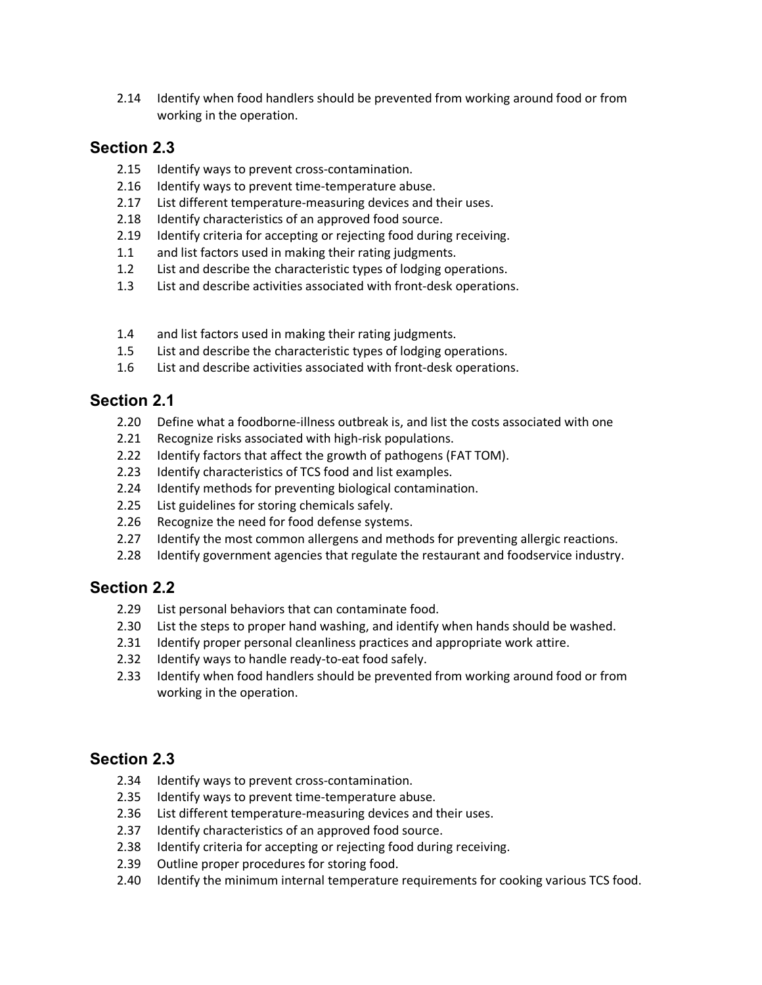2.14 Identify when food handlers should be prevented from working around food or from working in the operation.

### **Section 2.3**

- 2.15 Identify ways to prevent cross-contamination.
- 2.16 Identify ways to prevent time-temperature abuse.
- 2.17 List different temperature-measuring devices and their uses.
- 2.18 Identify characteristics of an approved food source.
- 2.19 Identify criteria for accepting or rejecting food during receiving.
- 1.1 and list factors used in making their rating judgments.
- 1.2 List and describe the characteristic types of lodging operations.
- 1.3 List and describe activities associated with front-desk operations.
- 1.4 and list factors used in making their rating judgments.
- 1.5 List and describe the characteristic types of lodging operations.
- 1.6 List and describe activities associated with front-desk operations.

## **Section 2.1**

- 2.20 Define what a foodborne-illness outbreak is, and list the costs associated with one
- 2.21 Recognize risks associated with high-risk populations.
- 2.22 Identify factors that affect the growth of pathogens (FAT TOM).
- 2.23 Identify characteristics of TCS food and list examples.
- 2.24 Identify methods for preventing biological contamination.
- 2.25 List guidelines for storing chemicals safely.
- 2.26 Recognize the need for food defense systems.
- 2.27 Identify the most common allergens and methods for preventing allergic reactions.
- 2.28 Identify government agencies that regulate the restaurant and foodservice industry.

# **Section 2.2**

- 2.29 List personal behaviors that can contaminate food.
- 2.30 List the steps to proper hand washing, and identify when hands should be washed.
- 2.31 Identify proper personal cleanliness practices and appropriate work attire.
- 2.32 Identify ways to handle ready-to-eat food safely.
- 2.33 Identify when food handlers should be prevented from working around food or from working in the operation.

## **Section 2.3**

- 2.34 Identify ways to prevent cross-contamination.
- 2.35 Identify ways to prevent time-temperature abuse.
- 2.36 List different temperature-measuring devices and their uses.
- 2.37 Identify characteristics of an approved food source.
- 2.38 Identify criteria for accepting or rejecting food during receiving.
- 2.39 Outline proper procedures for storing food.
- 2.40 Identify the minimum internal temperature requirements for cooking various TCS food.